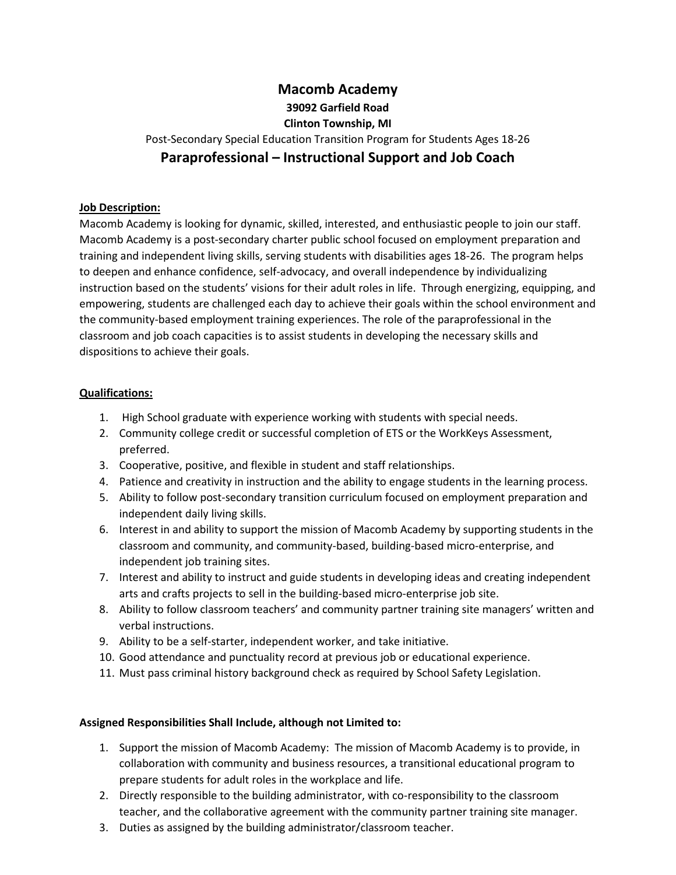## **Macomb Academy 39092 Garfield Road Clinton Township, MI** Post-Secondary Special Education Transition Program for Students Ages 18-26 **Paraprofessional – Instructional Support and Job Coach**

## **Job Description:**

Macomb Academy is looking for dynamic, skilled, interested, and enthusiastic people to join our staff. Macomb Academy is a post-secondary charter public school focused on employment preparation and training and independent living skills, serving students with disabilities ages 18-26. The program helps to deepen and enhance confidence, self-advocacy, and overall independence by individualizing instruction based on the students' visions for their adult roles in life. Through energizing, equipping, and empowering, students are challenged each day to achieve their goals within the school environment and the community-based employment training experiences. The role of the paraprofessional in the classroom and job coach capacities is to assist students in developing the necessary skills and dispositions to achieve their goals.

## **Qualifications:**

- 1. High School graduate with experience working with students with special needs.
- 2. Community college credit or successful completion of ETS or the WorkKeys Assessment, preferred.
- 3. Cooperative, positive, and flexible in student and staff relationships.
- 4. Patience and creativity in instruction and the ability to engage students in the learning process.
- 5. Ability to follow post-secondary transition curriculum focused on employment preparation and independent daily living skills.
- 6. Interest in and ability to support the mission of Macomb Academy by supporting students in the classroom and community, and community-based, building-based micro-enterprise, and independent job training sites.
- 7. Interest and ability to instruct and guide students in developing ideas and creating independent arts and crafts projects to sell in the building-based micro-enterprise job site.
- 8. Ability to follow classroom teachers' and community partner training site managers' written and verbal instructions.
- 9. Ability to be a self-starter, independent worker, and take initiative.
- 10. Good attendance and punctuality record at previous job or educational experience.
- 11. Must pass criminal history background check as required by School Safety Legislation.

## **Assigned Responsibilities Shall Include, although not Limited to:**

- 1. Support the mission of Macomb Academy: The mission of Macomb Academy is to provide, in collaboration with community and business resources, a transitional educational program to prepare students for adult roles in the workplace and life.
- 2. Directly responsible to the building administrator, with co-responsibility to the classroom teacher, and the collaborative agreement with the community partner training site manager.
- 3. Duties as assigned by the building administrator/classroom teacher.